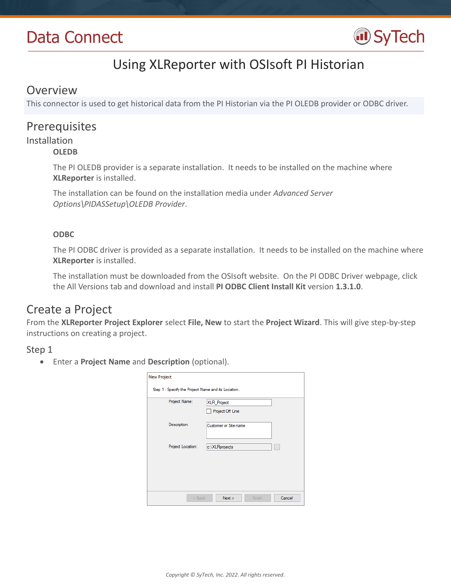# Data Connect



# Using XLReporter with OSIsoft PI Historian

## Overview

This connector is used to get historical data from the PI Historian via the PI OLEDB provider or ODBC driver.

# Prerequisites

# Installation

### **OLEDB**

The PI OLEDB provider is a separate installation. It needs to be installed on the machine where **XLReporter** is installed.

The installation can be found on the installation media under *Advanced Server Options\PIDASSetup\OLEDB Provider*.

## **ODBC**

The PI ODBC driver is provided as a separate installation. It needs to be installed on the machine where **XLReporter** is installed.

The installation must be downloaded from the OSIsoft website. On the PI ODBC Driver webpage, click the All Versions tab and download and install **PI ODBC Client Install Kit** version **1.3.1.0**.

# Create a Project

From the **XLReporter Project Explorer** select **File, New** to start the **Project Wizard**. This will give step-by-step instructions on creating a project.

## Step 1

Enter a **Project Name** and **Description** (optional).

| <b>New Project</b>                                  |                          |
|-----------------------------------------------------|--------------------------|
| Step 1 : Specify the Project Name and its Location. |                          |
| Project Name:                                       | <b>XLR</b> Project       |
|                                                     | Project Off Line         |
| Description:                                        | Customer or Site name    |
|                                                     |                          |
| Project Location:                                   | c:\XLRprojects           |
|                                                     |                          |
|                                                     |                          |
|                                                     |                          |
|                                                     |                          |
| $<$ Back                                            | Cancel<br>Next<br>Finish |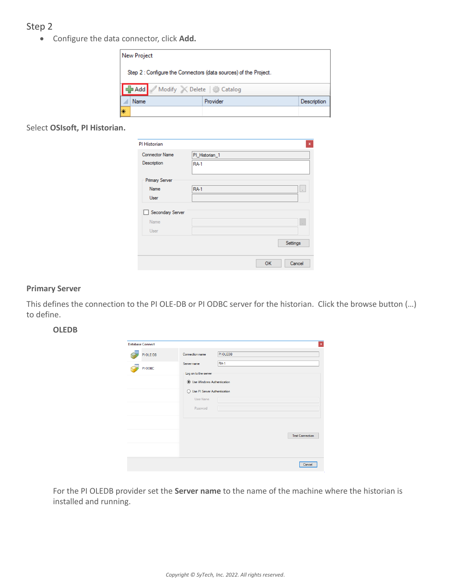## Step 2

Configure the data connector, click **Add.**

|                               | <b>New Project</b>                                               |          |             |  |  |  |
|-------------------------------|------------------------------------------------------------------|----------|-------------|--|--|--|
|                               | Step 2 : Configure the Connectors (data sources) of the Project. |          |             |  |  |  |
| Add Modify X Delete & Catalog |                                                                  |          |             |  |  |  |
|                               | Name                                                             | Provider | Description |  |  |  |
| ⊯                             |                                                                  |          |             |  |  |  |

Select **OSIsoft, PI Historian.**

| PI Historian          |                              | $\mathbf x$ |
|-----------------------|------------------------------|-------------|
| <b>Connector Name</b> | PI_Historian_1               |             |
| Description           | <b>RA-1</b>                  |             |
| <b>Primary Server</b> |                              |             |
| Name                  | <b>RA-1</b><br>$\mathcal{L}$ |             |
| User                  |                              |             |
| Secondary Server      |                              |             |
| Name                  | $\mathcal{L}$                |             |
| User                  |                              |             |
|                       | Settings                     |             |
|                       | OK<br>Cancel                 |             |

#### **Primary Server**

This defines the connection to the PI OLE-DB or PI ODBC server for the historian. Click the browse button (…) to define.

#### **OLEDB**

| <b>PIOLEDB</b><br>PI OLE-DB<br>Connection name<br><b>RA-1</b><br>Server name<br>PI ODBC<br>Log on to the server<br><b>Jose Windows Authentication</b><br>◯ Use PI Server Authentication<br><b>User Name</b><br>Password<br><b>Test Connection</b> |  |
|---------------------------------------------------------------------------------------------------------------------------------------------------------------------------------------------------------------------------------------------------|--|
|                                                                                                                                                                                                                                                   |  |
|                                                                                                                                                                                                                                                   |  |
|                                                                                                                                                                                                                                                   |  |
|                                                                                                                                                                                                                                                   |  |
|                                                                                                                                                                                                                                                   |  |
|                                                                                                                                                                                                                                                   |  |
|                                                                                                                                                                                                                                                   |  |
|                                                                                                                                                                                                                                                   |  |
|                                                                                                                                                                                                                                                   |  |
|                                                                                                                                                                                                                                                   |  |
|                                                                                                                                                                                                                                                   |  |
|                                                                                                                                                                                                                                                   |  |
|                                                                                                                                                                                                                                                   |  |

For the PI OLEDB provider set the **Server name** to the name of the machine where the historian is installed and running.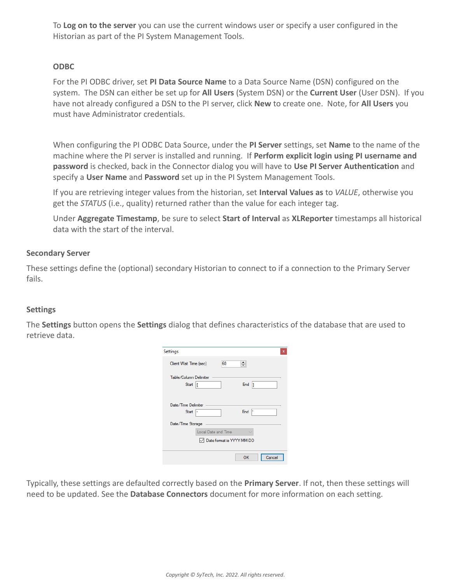To **Log on to the server** you can use the current windows user or specify a user configured in the Historian as part of the PI System Management Tools.

### **ODBC**

For the PI ODBC driver, set **PI Data Source Name** to a Data Source Name (DSN) configured on the system. The DSN can either be set up for **All Users** (System DSN) or the **Current User** (User DSN). If you have not already configured a DSN to the PI server, click **New** to create one. Note, for **All Users** you must have Administrator credentials.

When configuring the PI ODBC Data Source, under the **PI Server** settings, set **Name** to the name of the machine where the PI server is installed and running. If **Perform explicit login using PI username and password** is checked, back in the Connector dialog you will have to **Use PI Server Authentication** and specify a **User Name** and **Password** set up in the PI System Management Tools.

If you are retrieving integer values from the historian, set **Interval Values as** to *VALUE*, otherwise you get the *STATUS* (i.e., quality) returned rather than the value for each integer tag.

Under **Aggregate Timestamp**, be sure to select **Start of Interval** as **XLReporter** timestamps all historical data with the start of the interval.

### **Secondary Server**

These settings define the (optional) secondary Historian to connect to if a connection to the Primary Server fails.

### **Settings**

The **Settings** button opens the **Settings** dialog that defines characteristics of the database that are used to retrieve data.

| Settings<br>×                                        |
|------------------------------------------------------|
| $\div$<br>60<br>Client Wait Time (sec)               |
| Table/Column Delimiter<br>End $ $<br>Start           |
| Date/Time Delimiter<br>End<br>Þ<br><b>Start</b><br>ь |
| Date/Time Storage                                    |
| Local Date and Time                                  |
| Date format is YYYY-MM-DD                            |
| OK<br>Cancel                                         |

Typically, these settings are defaulted correctly based on the **Primary Server**. If not, then these settings will need to be updated. See the **Database Connectors** document for more information on each setting.